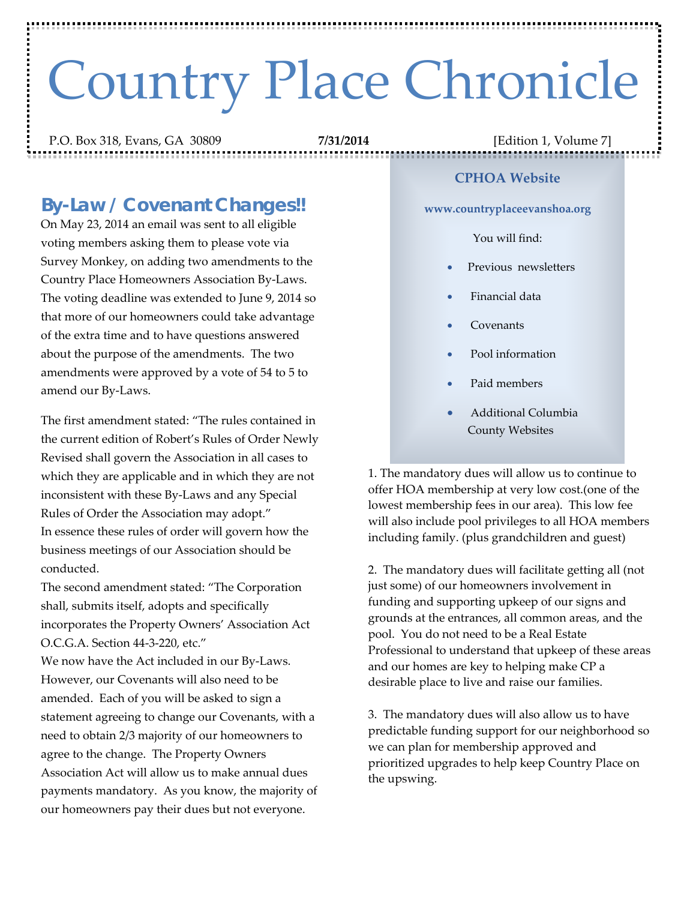# Country Place Chronicle

P.O. Box 318, Evans, GA 30809 **7/31/2014** [Edition 1, Volume 7]

## *By-Law / Covenant Changes!!*

On May 23, 2014 an email was sent to all eligible voting members asking them to please vote via Survey Monkey, on adding two amendments to the Country Place Homeowners Association By-Laws. The voting deadline was extended to June 9, 2014 so that more of our homeowners could take advantage of the extra time and to have questions answered about the purpose of the amendments. The two amendments were approved by a vote of 54 to 5 to amend our By-Laws.

The first amendment stated: "The rules contained in the current edition of Robert's Rules of Order Newly Revised shall govern the Association in all cases to which they are applicable and in which they are not inconsistent with these By-Laws and any Special Rules of Order the Association may adopt." In essence these rules of order will govern how the business meetings of our Association should be conducted.

The second amendment stated: "The Corporation shall, submits itself, adopts and specifically incorporates the Property Owners' Association Act O.C.G.A. Section 44-3-220, etc."

We now have the Act included in our By-Laws. However, our Covenants will also need to be amended. Each of you will be asked to sign a statement agreeing to change our Covenants, with a need to obtain 2/3 majority of our homeowners to agree to the change. The Property Owners Association Act will allow us to make annual dues payments mandatory. As you know, the majority of our homeowners pay their dues but not everyone.

#### **CPHOA Website**

**www.countryplaceevanshoa.org**

#### You will find:

- Previous newsletters
- Financial data
- Covenants
- Pool information
- Paid members
- Additional Columbia County Websites

1. The mandatory dues will allow us to continue to offer HOA membership at very low cost.(one of the lowest membership fees in our area). This low fee will also include pool privileges to all HOA members including family. (plus grandchildren and guest)

2. The mandatory dues will facilitate getting all (not just some) of our homeowners involvement in funding and supporting upkeep of our signs and grounds at the entrances, all common areas, and the pool. You do not need to be a Real Estate Professional to understand that upkeep of these areas and our homes are key to helping make CP a desirable place to live and raise our families.

3. The mandatory dues will also allow us to have predictable funding support for our neighborhood so we can plan for membership approved and prioritized upgrades to help keep Country Place on the upswing.